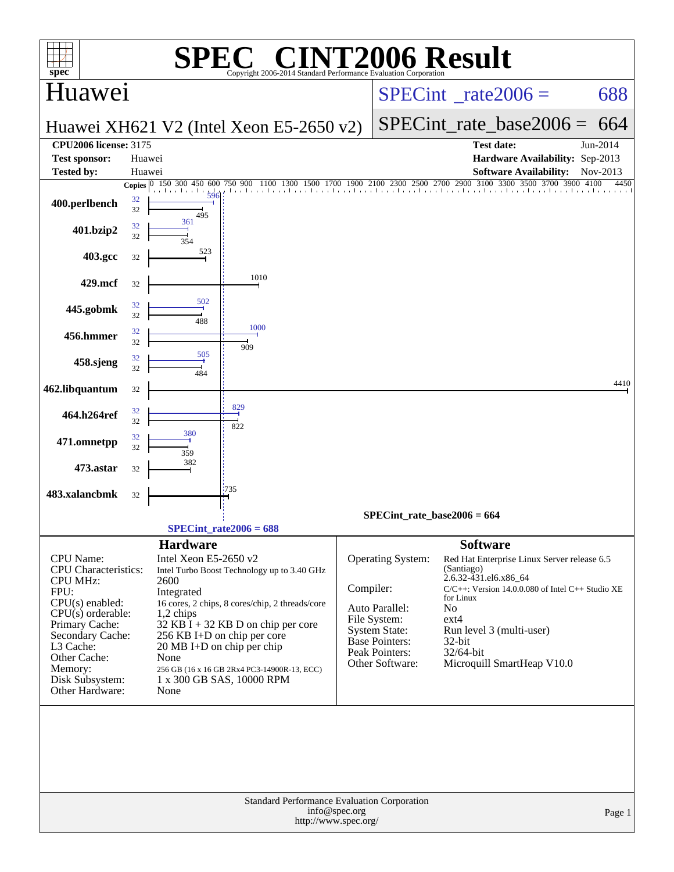| spec <sup>®</sup>                                                                                                                                                           |                          |                                                                                                          | $\blacksquare$<br>Copyright 2006-2014 Standard Performance Evaluation Corporation                                                                                     |           |                                                                                                                                           | <b>INT2006 Result</b>                                                                                                                                                                                                                                  |                                  |
|-----------------------------------------------------------------------------------------------------------------------------------------------------------------------------|--------------------------|----------------------------------------------------------------------------------------------------------|-----------------------------------------------------------------------------------------------------------------------------------------------------------------------|-----------|-------------------------------------------------------------------------------------------------------------------------------------------|--------------------------------------------------------------------------------------------------------------------------------------------------------------------------------------------------------------------------------------------------------|----------------------------------|
| Huawei                                                                                                                                                                      |                          |                                                                                                          |                                                                                                                                                                       |           |                                                                                                                                           | $SPECint^{\circ}$ rate $2006 =$                                                                                                                                                                                                                        | 688                              |
|                                                                                                                                                                             |                          |                                                                                                          | Huawei XH621 V2 (Intel Xeon E5-2650 v2)                                                                                                                               |           |                                                                                                                                           | $SPECint_rate\_base2006 =$                                                                                                                                                                                                                             | 664                              |
| <b>CPU2006</b> license: 3175<br><b>Test sponsor:</b>                                                                                                                        | Huawei                   |                                                                                                          |                                                                                                                                                                       |           |                                                                                                                                           | <b>Test date:</b><br>Hardware Availability: Sep-2013                                                                                                                                                                                                   | Jun-2014                         |
| <b>Tested by:</b>                                                                                                                                                           | Huawei                   | 150 300 450                                                                                              |                                                                                                                                                                       |           |                                                                                                                                           | <b>Software Availability:</b><br>1900 2100 2300 2500 2700 2900 3100 3300 3500 3700                                                                                                                                                                     | Nov-2013<br>3900<br>4450<br>4100 |
| 400.perlbench                                                                                                                                                               | Copies $ 0 $<br>32<br>32 | 600<br>495                                                                                               | 750<br>900<br>1100                                                                                                                                                    |           |                                                                                                                                           | the there there there the colored the colored the closed continued and the colored re-                                                                                                                                                                 |                                  |
| 401.bzip2                                                                                                                                                                   | 32<br>32                 | 361                                                                                                      |                                                                                                                                                                       |           |                                                                                                                                           |                                                                                                                                                                                                                                                        |                                  |
| 403.gcc                                                                                                                                                                     | 32                       | 523                                                                                                      |                                                                                                                                                                       |           |                                                                                                                                           |                                                                                                                                                                                                                                                        |                                  |
| 429.mcf                                                                                                                                                                     | 32                       |                                                                                                          | 1010                                                                                                                                                                  |           |                                                                                                                                           |                                                                                                                                                                                                                                                        |                                  |
| 445.gobmk                                                                                                                                                                   | 32<br>32                 | 502<br>488                                                                                               |                                                                                                                                                                       |           |                                                                                                                                           |                                                                                                                                                                                                                                                        |                                  |
| 456.hmmer                                                                                                                                                                   | 32<br>32                 |                                                                                                          | 1000<br>909                                                                                                                                                           |           |                                                                                                                                           |                                                                                                                                                                                                                                                        |                                  |
| 458.sjeng                                                                                                                                                                   | 32<br>32                 | 505<br>484                                                                                               |                                                                                                                                                                       |           |                                                                                                                                           |                                                                                                                                                                                                                                                        |                                  |
| 462.libquantum                                                                                                                                                              | 32                       |                                                                                                          |                                                                                                                                                                       |           |                                                                                                                                           |                                                                                                                                                                                                                                                        | 4410                             |
| 464.h264ref                                                                                                                                                                 | 32<br>32                 |                                                                                                          | 829<br>822                                                                                                                                                            |           |                                                                                                                                           |                                                                                                                                                                                                                                                        |                                  |
| 471.omnetpp                                                                                                                                                                 | 32<br>32                 | 380<br>359                                                                                               |                                                                                                                                                                       |           |                                                                                                                                           |                                                                                                                                                                                                                                                        |                                  |
| 473.astar                                                                                                                                                                   | 32                       | 382                                                                                                      |                                                                                                                                                                       |           |                                                                                                                                           |                                                                                                                                                                                                                                                        |                                  |
| 483.xalancbmk                                                                                                                                                               | 32                       |                                                                                                          | '735                                                                                                                                                                  |           |                                                                                                                                           |                                                                                                                                                                                                                                                        |                                  |
|                                                                                                                                                                             |                          |                                                                                                          | $SPECint_rate2006 = 688$                                                                                                                                              |           | $SPECint_rate_base2006 = 664$                                                                                                             |                                                                                                                                                                                                                                                        |                                  |
|                                                                                                                                                                             |                          | <b>Hardware</b>                                                                                          |                                                                                                                                                                       |           |                                                                                                                                           | <b>Software</b>                                                                                                                                                                                                                                        |                                  |
| CPU Name:<br>CPU Characteristics:<br><b>CPU MHz:</b><br>FPU:<br>$CPU(s)$ enabled:<br>$CPU(s)$ orderable:<br>Primary Cache:<br>Secondary Cache:<br>L3 Cache:<br>Other Cache: |                          | Intel Xeon E5-2650 v2<br>2600<br>Integrated<br>1,2 chips<br>$20 \text{ MB I+D}$ on chip per chip<br>None | Intel Turbo Boost Technology up to 3.40 GHz<br>16 cores, 2 chips, 8 cores/chip, 2 threads/core<br>$32$ KB I + 32 KB D on chip per core<br>256 KB I+D on chip per core | Compiler: | <b>Operating System:</b><br>Auto Parallel:<br>File System:<br><b>System State:</b><br>Base Pointers:<br>Peak Pointers:<br>Other Software: | Red Hat Enterprise Linux Server release 6.5<br>(Santiago)<br>2.6.32-431.el6.x86_64<br>C/C++: Version 14.0.0.080 of Intel C++ Studio XE<br>for Linux<br>No<br>$ext{4}$<br>Run level 3 (multi-user)<br>32-bit<br>32/64-bit<br>Microquill SmartHeap V10.0 |                                  |
| Memory:<br>Disk Subsystem:<br>Other Hardware:                                                                                                                               |                          | None                                                                                                     | 256 GB (16 x 16 GB 2Rx4 PC3-14900R-13, ECC)<br>1 x 300 GB SAS, 10000 RPM                                                                                              |           |                                                                                                                                           |                                                                                                                                                                                                                                                        |                                  |
|                                                                                                                                                                             |                          |                                                                                                          |                                                                                                                                                                       | Page 1    |                                                                                                                                           |                                                                                                                                                                                                                                                        |                                  |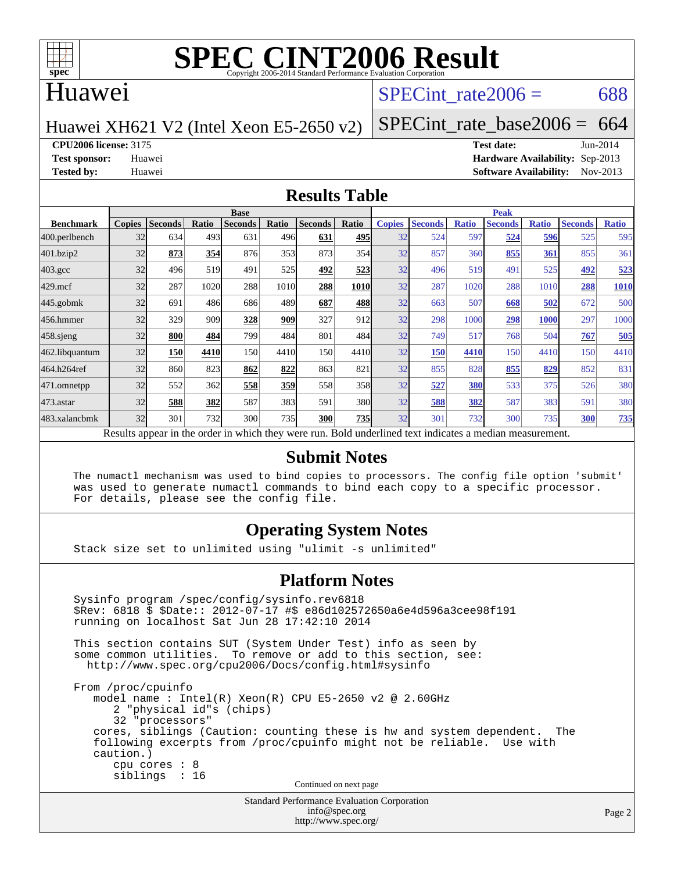

### Huawei

#### SPECint rate $2006 = 688$

Huawei XH621 V2 (Intel Xeon E5-2650 v2)

[SPECint\\_rate\\_base2006 =](http://www.spec.org/auto/cpu2006/Docs/result-fields.html#SPECintratebase2006)  $664$ 

**[CPU2006 license:](http://www.spec.org/auto/cpu2006/Docs/result-fields.html#CPU2006license)** 3175 **[Test date:](http://www.spec.org/auto/cpu2006/Docs/result-fields.html#Testdate)** Jun-2014

**[Test sponsor:](http://www.spec.org/auto/cpu2006/Docs/result-fields.html#Testsponsor)** Huawei **[Hardware Availability:](http://www.spec.org/auto/cpu2006/Docs/result-fields.html#HardwareAvailability)** Sep-2013 **[Tested by:](http://www.spec.org/auto/cpu2006/Docs/result-fields.html#Testedby)** Huawei **[Software Availability:](http://www.spec.org/auto/cpu2006/Docs/result-fields.html#SoftwareAvailability)** Nov-2013

#### **[Results Table](http://www.spec.org/auto/cpu2006/Docs/result-fields.html#ResultsTable)**

|                                                                                                          | <b>Base</b>   |                |              |                |       |                |       | <b>Peak</b>   |                |              |                |              |                |              |
|----------------------------------------------------------------------------------------------------------|---------------|----------------|--------------|----------------|-------|----------------|-------|---------------|----------------|--------------|----------------|--------------|----------------|--------------|
| <b>Benchmark</b>                                                                                         | <b>Copies</b> | <b>Seconds</b> | <b>Ratio</b> | <b>Seconds</b> | Ratio | <b>Seconds</b> | Ratio | <b>Copies</b> | <b>Seconds</b> | <b>Ratio</b> | <b>Seconds</b> | <b>Ratio</b> | <b>Seconds</b> | <b>Ratio</b> |
| 400.perlbench                                                                                            | 32            | 634            | 493          | 631            | 496   | 631            | 495   | 32            | 524            | 597          | 524            | 596          | 525            | 595          |
| 401.bzip2                                                                                                | 32            | 873            | 354          | 876            | 353   | 873            | 354   | 32            | 857            | 360          | 855            | 361          | 855            | 361          |
| $403.\mathrm{gcc}$                                                                                       | 32            | 496            | 519          | 491            | 525   | 492            | 523   | 32            | 496            | 519          | 491            | 525          | 492            | 523          |
| $429$ .mcf                                                                                               | 32            | 287            | 1020         | 288            | 1010  | 288            | 1010  | 32            | 287            | 1020         | 288            | 1010         | 288            | 1010         |
| $445$ .gobm $k$                                                                                          | 32            | 691            | 486          | 686            | 489   | 687            | 488   | 32            | 663            | 507          | 668            | 502          | 672            | 500          |
| 456.hmmer                                                                                                | 32            | 329            | 909          | 328            | 909   | 327            | 912l  | 32            | 298            | 1000         | 298            | <b>1000</b>  | 297            | 1000         |
| $458$ .sjeng                                                                                             | 32            | 800            | 484          | 799            | 484   | 801            | 484I  | 32            | 749            | 517          | 768            | 504          | 767            | 505          |
| 462.libquantum                                                                                           | 32            | 150            | 4410         | 150            | 4410  | 150            | 4410  | 32            | 150            | 4410         | 150            | 4410         | 150            | 4410         |
| 464.h264ref                                                                                              | 32            | 860            | 823          | 862            | 822   | 863            | 821   | 32            | 855            | 828          | 855            | 829          | 852            | 831          |
| 471.omnetpp                                                                                              | 32            | 552            | 362          | 558            | 359   | 558            | 358   | 32            | 527            | 380          | 533            | 375          | 526            | 380          |
| $473$ . astar                                                                                            | 32            | 588            | 382          | 587            | 383   | 591            | 380   | 32            | 588            | 382          | 587            | 383          | 591            | 380          |
| 483.xalancbmk                                                                                            | 32            | 301            | 732          | 300            | 735   | 300            | 735I  | 32            | 301            | 732          | 300            | 735          | 300            | <u>735</u>   |
| Results appear in the order in which they were run. Bold underlined text indicates a median measurement. |               |                |              |                |       |                |       |               |                |              |                |              |                |              |

#### **[Submit Notes](http://www.spec.org/auto/cpu2006/Docs/result-fields.html#SubmitNotes)**

 The numactl mechanism was used to bind copies to processors. The config file option 'submit' was used to generate numactl commands to bind each copy to a specific processor. For details, please see the config file.

#### **[Operating System Notes](http://www.spec.org/auto/cpu2006/Docs/result-fields.html#OperatingSystemNotes)**

Stack size set to unlimited using "ulimit -s unlimited"

#### **[Platform Notes](http://www.spec.org/auto/cpu2006/Docs/result-fields.html#PlatformNotes)**

Standard Performance Evaluation Corporation Sysinfo program /spec/config/sysinfo.rev6818 \$Rev: 6818 \$ \$Date:: 2012-07-17 #\$ e86d102572650a6e4d596a3cee98f191 running on localhost Sat Jun 28 17:42:10 2014 This section contains SUT (System Under Test) info as seen by some common utilities. To remove or add to this section, see: <http://www.spec.org/cpu2006/Docs/config.html#sysinfo> From /proc/cpuinfo model name : Intel(R) Xeon(R) CPU E5-2650 v2 @ 2.60GHz 2 "physical id"s (chips) 32 "processors" cores, siblings (Caution: counting these is hw and system dependent. The following excerpts from /proc/cpuinfo might not be reliable. Use with caution.) cpu cores : 8 siblings : 16 Continued on next page

[info@spec.org](mailto:info@spec.org) <http://www.spec.org/>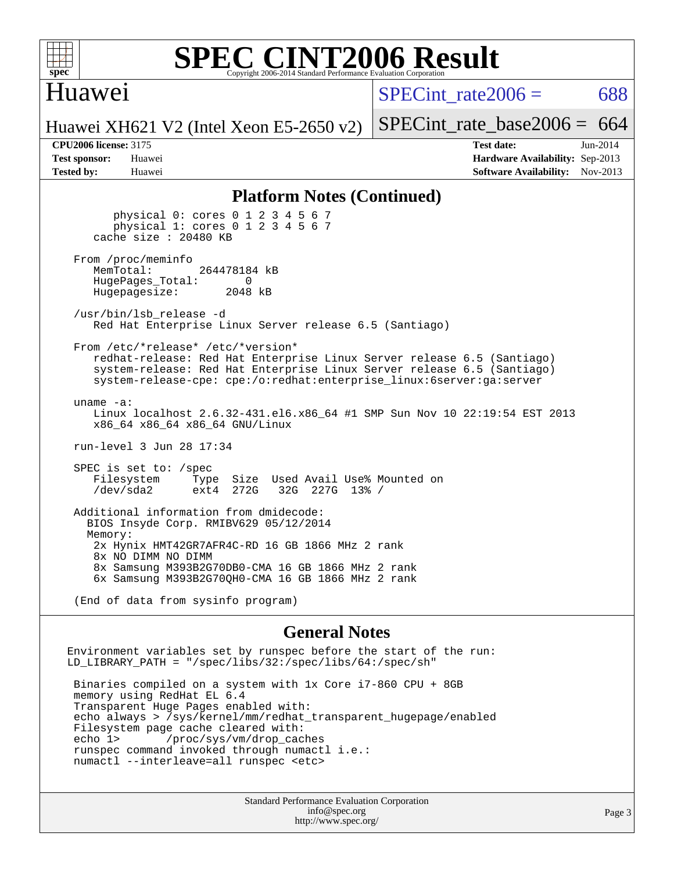

#### **[SPEC CINT2006 Result](http://www.spec.org/auto/cpu2006/Docs/result-fields.html#SPECCINT2006Result)** Copyright 2006-2014 Standard Performance Evaluation C

### Huawei

SPECint rate $2006 = 688$ 

Huawei XH621 V2 (Intel Xeon E5-2650 v2)

[SPECint\\_rate\\_base2006 =](http://www.spec.org/auto/cpu2006/Docs/result-fields.html#SPECintratebase2006)  $664$ 

**[CPU2006 license:](http://www.spec.org/auto/cpu2006/Docs/result-fields.html#CPU2006license)** 3175 **[Test date:](http://www.spec.org/auto/cpu2006/Docs/result-fields.html#Testdate)** Jun-2014 **[Test sponsor:](http://www.spec.org/auto/cpu2006/Docs/result-fields.html#Testsponsor)** Huawei **[Hardware Availability:](http://www.spec.org/auto/cpu2006/Docs/result-fields.html#HardwareAvailability)** Sep-2013 **[Tested by:](http://www.spec.org/auto/cpu2006/Docs/result-fields.html#Testedby)** Huawei **[Software Availability:](http://www.spec.org/auto/cpu2006/Docs/result-fields.html#SoftwareAvailability)** Nov-2013

#### **[Platform Notes \(Continued\)](http://www.spec.org/auto/cpu2006/Docs/result-fields.html#PlatformNotes)**

 physical 0: cores 0 1 2 3 4 5 6 7 physical 1: cores 0 1 2 3 4 5 6 7 cache size : 20480 KB From /proc/meminfo<br>MemTotal: 264478184 kB HugePages\_Total: 0<br>Hugepagesize: 2048 kB Hugepagesize: /usr/bin/lsb\_release -d Red Hat Enterprise Linux Server release 6.5 (Santiago) From /etc/\*release\* /etc/\*version\* redhat-release: Red Hat Enterprise Linux Server release 6.5 (Santiago) system-release: Red Hat Enterprise Linux Server release 6.5 (Santiago) system-release-cpe: cpe:/o:redhat:enterprise\_linux:6server:ga:server uname -a: Linux localhost 2.6.32-431.el6.x86\_64 #1 SMP Sun Nov 10 22:19:54 EST 2013 x86\_64 x86\_64 x86\_64 GNU/Linux run-level 3 Jun 28 17:34 SPEC is set to: /spec Filesystem Type Size Used Avail Use% Mounted on<br>
/dev/sda2 ext4 272G 32G 227G 13% / 32G 227G 13% / Additional information from dmidecode: BIOS Insyde Corp. RMIBV629 05/12/2014 Memory: 2x Hynix HMT42GR7AFR4C-RD 16 GB 1866 MHz 2 rank 8x NO DIMM NO DIMM 8x Samsung M393B2G70DB0-CMA 16 GB 1866 MHz 2 rank 6x Samsung M393B2G70QH0-CMA 16 GB 1866 MHz 2 rank

(End of data from sysinfo program)

#### **[General Notes](http://www.spec.org/auto/cpu2006/Docs/result-fields.html#GeneralNotes)**

Environment variables set by runspec before the start of the run: LD LIBRARY PATH = "/spec/libs/32:/spec/libs/64:/spec/sh"

 Binaries compiled on a system with 1x Core i7-860 CPU + 8GB memory using RedHat EL 6.4 Transparent Huge Pages enabled with: echo always > /sys/kernel/mm/redhat\_transparent\_hugepage/enabled Filesystem page cache cleared with: echo 1> /proc/sys/vm/drop\_caches runspec command invoked through numactl i.e.: numactl --interleave=all runspec <etc>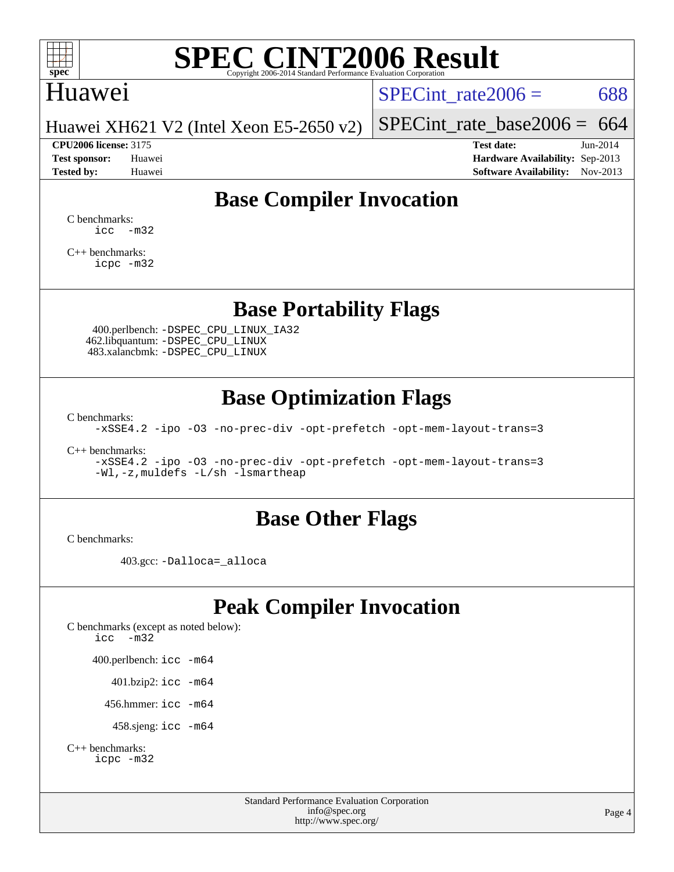

### Huawei

SPECint rate $2006 = 688$ 

Huawei XH621 V2 (Intel Xeon E5-2650 v2)

**[Test sponsor:](http://www.spec.org/auto/cpu2006/Docs/result-fields.html#Testsponsor)** Huawei **[Hardware Availability:](http://www.spec.org/auto/cpu2006/Docs/result-fields.html#HardwareAvailability)** Sep-2013 **[Tested by:](http://www.spec.org/auto/cpu2006/Docs/result-fields.html#Testedby)** Huawei **[Software Availability:](http://www.spec.org/auto/cpu2006/Docs/result-fields.html#SoftwareAvailability)** Nov-2013

[SPECint\\_rate\\_base2006 =](http://www.spec.org/auto/cpu2006/Docs/result-fields.html#SPECintratebase2006)  $664$ **[CPU2006 license:](http://www.spec.org/auto/cpu2006/Docs/result-fields.html#CPU2006license)** 3175 **[Test date:](http://www.spec.org/auto/cpu2006/Docs/result-fields.html#Testdate)** Jun-2014

**[Base Compiler Invocation](http://www.spec.org/auto/cpu2006/Docs/result-fields.html#BaseCompilerInvocation)**

[C benchmarks](http://www.spec.org/auto/cpu2006/Docs/result-fields.html#Cbenchmarks):  $\text{icc}$   $-\text{m32}$ 

[C++ benchmarks:](http://www.spec.org/auto/cpu2006/Docs/result-fields.html#CXXbenchmarks) [icpc -m32](http://www.spec.org/cpu2006/results/res2014q3/cpu2006-20140628-30069.flags.html#user_CXXbase_intel_icpc_4e5a5ef1a53fd332b3c49e69c3330699)

**[Base Portability Flags](http://www.spec.org/auto/cpu2006/Docs/result-fields.html#BasePortabilityFlags)**

 400.perlbench: [-DSPEC\\_CPU\\_LINUX\\_IA32](http://www.spec.org/cpu2006/results/res2014q3/cpu2006-20140628-30069.flags.html#b400.perlbench_baseCPORTABILITY_DSPEC_CPU_LINUX_IA32) 462.libquantum: [-DSPEC\\_CPU\\_LINUX](http://www.spec.org/cpu2006/results/res2014q3/cpu2006-20140628-30069.flags.html#b462.libquantum_baseCPORTABILITY_DSPEC_CPU_LINUX) 483.xalancbmk: [-DSPEC\\_CPU\\_LINUX](http://www.spec.org/cpu2006/results/res2014q3/cpu2006-20140628-30069.flags.html#b483.xalancbmk_baseCXXPORTABILITY_DSPEC_CPU_LINUX)

## **[Base Optimization Flags](http://www.spec.org/auto/cpu2006/Docs/result-fields.html#BaseOptimizationFlags)**

[C benchmarks](http://www.spec.org/auto/cpu2006/Docs/result-fields.html#Cbenchmarks):

[-xSSE4.2](http://www.spec.org/cpu2006/results/res2014q3/cpu2006-20140628-30069.flags.html#user_CCbase_f-xSSE42_f91528193cf0b216347adb8b939d4107) [-ipo](http://www.spec.org/cpu2006/results/res2014q3/cpu2006-20140628-30069.flags.html#user_CCbase_f-ipo) [-O3](http://www.spec.org/cpu2006/results/res2014q3/cpu2006-20140628-30069.flags.html#user_CCbase_f-O3) [-no-prec-div](http://www.spec.org/cpu2006/results/res2014q3/cpu2006-20140628-30069.flags.html#user_CCbase_f-no-prec-div) [-opt-prefetch](http://www.spec.org/cpu2006/results/res2014q3/cpu2006-20140628-30069.flags.html#user_CCbase_f-opt-prefetch) [-opt-mem-layout-trans=3](http://www.spec.org/cpu2006/results/res2014q3/cpu2006-20140628-30069.flags.html#user_CCbase_f-opt-mem-layout-trans_a7b82ad4bd7abf52556d4961a2ae94d5)

[C++ benchmarks:](http://www.spec.org/auto/cpu2006/Docs/result-fields.html#CXXbenchmarks)

[-xSSE4.2](http://www.spec.org/cpu2006/results/res2014q3/cpu2006-20140628-30069.flags.html#user_CXXbase_f-xSSE42_f91528193cf0b216347adb8b939d4107) [-ipo](http://www.spec.org/cpu2006/results/res2014q3/cpu2006-20140628-30069.flags.html#user_CXXbase_f-ipo) [-O3](http://www.spec.org/cpu2006/results/res2014q3/cpu2006-20140628-30069.flags.html#user_CXXbase_f-O3) [-no-prec-div](http://www.spec.org/cpu2006/results/res2014q3/cpu2006-20140628-30069.flags.html#user_CXXbase_f-no-prec-div) [-opt-prefetch](http://www.spec.org/cpu2006/results/res2014q3/cpu2006-20140628-30069.flags.html#user_CXXbase_f-opt-prefetch) [-opt-mem-layout-trans=3](http://www.spec.org/cpu2006/results/res2014q3/cpu2006-20140628-30069.flags.html#user_CXXbase_f-opt-mem-layout-trans_a7b82ad4bd7abf52556d4961a2ae94d5) [-Wl,-z,muldefs](http://www.spec.org/cpu2006/results/res2014q3/cpu2006-20140628-30069.flags.html#user_CXXbase_link_force_multiple1_74079c344b956b9658436fd1b6dd3a8a) [-L/sh -lsmartheap](http://www.spec.org/cpu2006/results/res2014q3/cpu2006-20140628-30069.flags.html#user_CXXbase_SmartHeap_32f6c82aa1ed9c52345d30cf6e4a0499)

#### **[Base Other Flags](http://www.spec.org/auto/cpu2006/Docs/result-fields.html#BaseOtherFlags)**

[C benchmarks](http://www.spec.org/auto/cpu2006/Docs/result-fields.html#Cbenchmarks):

403.gcc: [-Dalloca=\\_alloca](http://www.spec.org/cpu2006/results/res2014q3/cpu2006-20140628-30069.flags.html#b403.gcc_baseEXTRA_CFLAGS_Dalloca_be3056838c12de2578596ca5467af7f3)

## **[Peak Compiler Invocation](http://www.spec.org/auto/cpu2006/Docs/result-fields.html#PeakCompilerInvocation)**

[C benchmarks \(except as noted below\)](http://www.spec.org/auto/cpu2006/Docs/result-fields.html#Cbenchmarksexceptasnotedbelow): [icc -m32](http://www.spec.org/cpu2006/results/res2014q3/cpu2006-20140628-30069.flags.html#user_CCpeak_intel_icc_5ff4a39e364c98233615fdd38438c6f2) 400.perlbench: [icc -m64](http://www.spec.org/cpu2006/results/res2014q3/cpu2006-20140628-30069.flags.html#user_peakCCLD400_perlbench_intel_icc_64bit_bda6cc9af1fdbb0edc3795bac97ada53) 401.bzip2: [icc -m64](http://www.spec.org/cpu2006/results/res2014q3/cpu2006-20140628-30069.flags.html#user_peakCCLD401_bzip2_intel_icc_64bit_bda6cc9af1fdbb0edc3795bac97ada53)

456.hmmer: [icc -m64](http://www.spec.org/cpu2006/results/res2014q3/cpu2006-20140628-30069.flags.html#user_peakCCLD456_hmmer_intel_icc_64bit_bda6cc9af1fdbb0edc3795bac97ada53)

458.sjeng: [icc -m64](http://www.spec.org/cpu2006/results/res2014q3/cpu2006-20140628-30069.flags.html#user_peakCCLD458_sjeng_intel_icc_64bit_bda6cc9af1fdbb0edc3795bac97ada53)

```
C++ benchmarks: 
    icpc -m32
```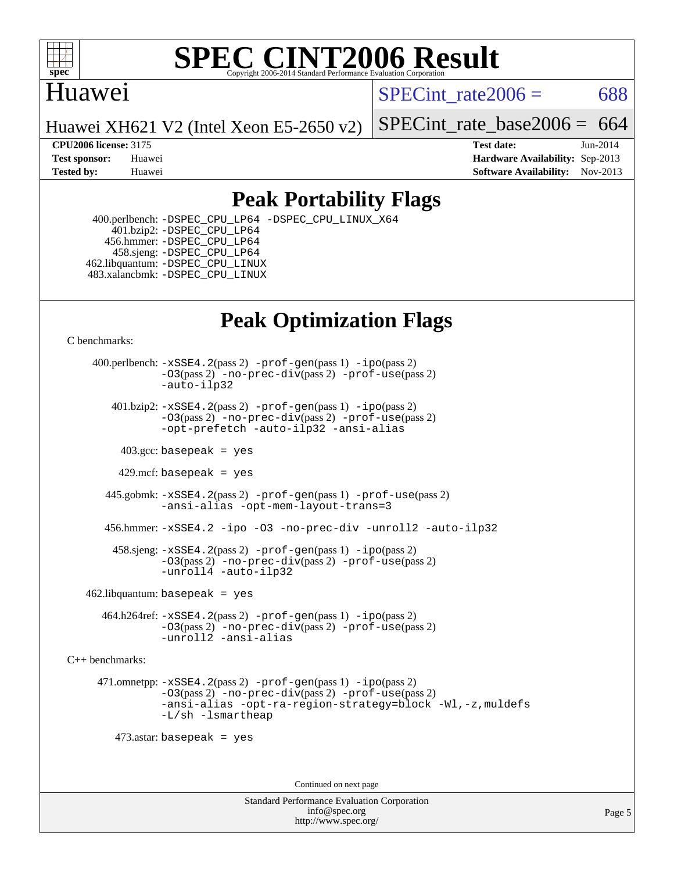

## Huawei

SPECint rate $2006 = 688$ 

Huawei XH621 V2 (Intel Xeon E5-2650 v2)

[SPECint\\_rate\\_base2006 =](http://www.spec.org/auto/cpu2006/Docs/result-fields.html#SPECintratebase2006)  $664$ 

**[CPU2006 license:](http://www.spec.org/auto/cpu2006/Docs/result-fields.html#CPU2006license)** 3175 **[Test date:](http://www.spec.org/auto/cpu2006/Docs/result-fields.html#Testdate)** Jun-2014 **[Test sponsor:](http://www.spec.org/auto/cpu2006/Docs/result-fields.html#Testsponsor)** Huawei **[Hardware Availability:](http://www.spec.org/auto/cpu2006/Docs/result-fields.html#HardwareAvailability)** Sep-2013 **[Tested by:](http://www.spec.org/auto/cpu2006/Docs/result-fields.html#Testedby)** Huawei **[Software Availability:](http://www.spec.org/auto/cpu2006/Docs/result-fields.html#SoftwareAvailability)** Nov-2013

## **[Peak Portability Flags](http://www.spec.org/auto/cpu2006/Docs/result-fields.html#PeakPortabilityFlags)**

 400.perlbench: [-DSPEC\\_CPU\\_LP64](http://www.spec.org/cpu2006/results/res2014q3/cpu2006-20140628-30069.flags.html#b400.perlbench_peakCPORTABILITY_DSPEC_CPU_LP64) [-DSPEC\\_CPU\\_LINUX\\_X64](http://www.spec.org/cpu2006/results/res2014q3/cpu2006-20140628-30069.flags.html#b400.perlbench_peakCPORTABILITY_DSPEC_CPU_LINUX_X64) 401.bzip2: [-DSPEC\\_CPU\\_LP64](http://www.spec.org/cpu2006/results/res2014q3/cpu2006-20140628-30069.flags.html#suite_peakCPORTABILITY401_bzip2_DSPEC_CPU_LP64) 456.hmmer: [-DSPEC\\_CPU\\_LP64](http://www.spec.org/cpu2006/results/res2014q3/cpu2006-20140628-30069.flags.html#suite_peakCPORTABILITY456_hmmer_DSPEC_CPU_LP64) 458.sjeng: [-DSPEC\\_CPU\\_LP64](http://www.spec.org/cpu2006/results/res2014q3/cpu2006-20140628-30069.flags.html#suite_peakCPORTABILITY458_sjeng_DSPEC_CPU_LP64) 462.libquantum: [-DSPEC\\_CPU\\_LINUX](http://www.spec.org/cpu2006/results/res2014q3/cpu2006-20140628-30069.flags.html#b462.libquantum_peakCPORTABILITY_DSPEC_CPU_LINUX) 483.xalancbmk: [-DSPEC\\_CPU\\_LINUX](http://www.spec.org/cpu2006/results/res2014q3/cpu2006-20140628-30069.flags.html#b483.xalancbmk_peakCXXPORTABILITY_DSPEC_CPU_LINUX)

## **[Peak Optimization Flags](http://www.spec.org/auto/cpu2006/Docs/result-fields.html#PeakOptimizationFlags)**

[C benchmarks](http://www.spec.org/auto/cpu2006/Docs/result-fields.html#Cbenchmarks):

 400.perlbench: [-xSSE4.2](http://www.spec.org/cpu2006/results/res2014q3/cpu2006-20140628-30069.flags.html#user_peakPASS2_CFLAGSPASS2_LDCFLAGS400_perlbench_f-xSSE42_f91528193cf0b216347adb8b939d4107)(pass 2) [-prof-gen](http://www.spec.org/cpu2006/results/res2014q3/cpu2006-20140628-30069.flags.html#user_peakPASS1_CFLAGSPASS1_LDCFLAGS400_perlbench_prof_gen_e43856698f6ca7b7e442dfd80e94a8fc)(pass 1) [-ipo](http://www.spec.org/cpu2006/results/res2014q3/cpu2006-20140628-30069.flags.html#user_peakPASS2_CFLAGSPASS2_LDCFLAGS400_perlbench_f-ipo)(pass 2) [-O3](http://www.spec.org/cpu2006/results/res2014q3/cpu2006-20140628-30069.flags.html#user_peakPASS2_CFLAGSPASS2_LDCFLAGS400_perlbench_f-O3)(pass 2) [-no-prec-div](http://www.spec.org/cpu2006/results/res2014q3/cpu2006-20140628-30069.flags.html#user_peakPASS2_CFLAGSPASS2_LDCFLAGS400_perlbench_f-no-prec-div)(pass 2) [-prof-use](http://www.spec.org/cpu2006/results/res2014q3/cpu2006-20140628-30069.flags.html#user_peakPASS2_CFLAGSPASS2_LDCFLAGS400_perlbench_prof_use_bccf7792157ff70d64e32fe3e1250b55)(pass 2) [-auto-ilp32](http://www.spec.org/cpu2006/results/res2014q3/cpu2006-20140628-30069.flags.html#user_peakCOPTIMIZE400_perlbench_f-auto-ilp32)  $401.bzip2: -xSSE4.2(pass 2) -prof-qen(pass 1) -ipo(pass 2)$  $401.bzip2: -xSSE4.2(pass 2) -prof-qen(pass 1) -ipo(pass 2)$  $401.bzip2: -xSSE4.2(pass 2) -prof-qen(pass 1) -ipo(pass 2)$  $401.bzip2: -xSSE4.2(pass 2) -prof-qen(pass 1) -ipo(pass 2)$  $401.bzip2: -xSSE4.2(pass 2) -prof-qen(pass 1) -ipo(pass 2)$ [-O3](http://www.spec.org/cpu2006/results/res2014q3/cpu2006-20140628-30069.flags.html#user_peakPASS2_CFLAGSPASS2_LDCFLAGS401_bzip2_f-O3)(pass 2) [-no-prec-div](http://www.spec.org/cpu2006/results/res2014q3/cpu2006-20140628-30069.flags.html#user_peakPASS2_CFLAGSPASS2_LDCFLAGS401_bzip2_f-no-prec-div)(pass 2) [-prof-use](http://www.spec.org/cpu2006/results/res2014q3/cpu2006-20140628-30069.flags.html#user_peakPASS2_CFLAGSPASS2_LDCFLAGS401_bzip2_prof_use_bccf7792157ff70d64e32fe3e1250b55)(pass 2) [-opt-prefetch](http://www.spec.org/cpu2006/results/res2014q3/cpu2006-20140628-30069.flags.html#user_peakCOPTIMIZE401_bzip2_f-opt-prefetch) [-auto-ilp32](http://www.spec.org/cpu2006/results/res2014q3/cpu2006-20140628-30069.flags.html#user_peakCOPTIMIZE401_bzip2_f-auto-ilp32) [-ansi-alias](http://www.spec.org/cpu2006/results/res2014q3/cpu2006-20140628-30069.flags.html#user_peakCOPTIMIZE401_bzip2_f-ansi-alias)  $403.\text{sec: basepeak}$  = yes 429.mcf: basepeak = yes 445.gobmk: [-xSSE4.2](http://www.spec.org/cpu2006/results/res2014q3/cpu2006-20140628-30069.flags.html#user_peakPASS2_CFLAGSPASS2_LDCFLAGS445_gobmk_f-xSSE42_f91528193cf0b216347adb8b939d4107)(pass 2) [-prof-gen](http://www.spec.org/cpu2006/results/res2014q3/cpu2006-20140628-30069.flags.html#user_peakPASS1_CFLAGSPASS1_LDCFLAGS445_gobmk_prof_gen_e43856698f6ca7b7e442dfd80e94a8fc)(pass 1) [-prof-use](http://www.spec.org/cpu2006/results/res2014q3/cpu2006-20140628-30069.flags.html#user_peakPASS2_CFLAGSPASS2_LDCFLAGS445_gobmk_prof_use_bccf7792157ff70d64e32fe3e1250b55)(pass 2) [-ansi-alias](http://www.spec.org/cpu2006/results/res2014q3/cpu2006-20140628-30069.flags.html#user_peakCOPTIMIZE445_gobmk_f-ansi-alias) [-opt-mem-layout-trans=3](http://www.spec.org/cpu2006/results/res2014q3/cpu2006-20140628-30069.flags.html#user_peakCOPTIMIZE445_gobmk_f-opt-mem-layout-trans_a7b82ad4bd7abf52556d4961a2ae94d5) 456.hmmer: [-xSSE4.2](http://www.spec.org/cpu2006/results/res2014q3/cpu2006-20140628-30069.flags.html#user_peakCOPTIMIZE456_hmmer_f-xSSE42_f91528193cf0b216347adb8b939d4107) [-ipo](http://www.spec.org/cpu2006/results/res2014q3/cpu2006-20140628-30069.flags.html#user_peakCOPTIMIZE456_hmmer_f-ipo) [-O3](http://www.spec.org/cpu2006/results/res2014q3/cpu2006-20140628-30069.flags.html#user_peakCOPTIMIZE456_hmmer_f-O3) [-no-prec-div](http://www.spec.org/cpu2006/results/res2014q3/cpu2006-20140628-30069.flags.html#user_peakCOPTIMIZE456_hmmer_f-no-prec-div) [-unroll2](http://www.spec.org/cpu2006/results/res2014q3/cpu2006-20140628-30069.flags.html#user_peakCOPTIMIZE456_hmmer_f-unroll_784dae83bebfb236979b41d2422d7ec2) [-auto-ilp32](http://www.spec.org/cpu2006/results/res2014q3/cpu2006-20140628-30069.flags.html#user_peakCOPTIMIZE456_hmmer_f-auto-ilp32) 458.sjeng: [-xSSE4.2](http://www.spec.org/cpu2006/results/res2014q3/cpu2006-20140628-30069.flags.html#user_peakPASS2_CFLAGSPASS2_LDCFLAGS458_sjeng_f-xSSE42_f91528193cf0b216347adb8b939d4107)(pass 2) [-prof-gen](http://www.spec.org/cpu2006/results/res2014q3/cpu2006-20140628-30069.flags.html#user_peakPASS1_CFLAGSPASS1_LDCFLAGS458_sjeng_prof_gen_e43856698f6ca7b7e442dfd80e94a8fc)(pass 1) [-ipo](http://www.spec.org/cpu2006/results/res2014q3/cpu2006-20140628-30069.flags.html#user_peakPASS2_CFLAGSPASS2_LDCFLAGS458_sjeng_f-ipo)(pass 2) [-O3](http://www.spec.org/cpu2006/results/res2014q3/cpu2006-20140628-30069.flags.html#user_peakPASS2_CFLAGSPASS2_LDCFLAGS458_sjeng_f-O3)(pass 2) [-no-prec-div](http://www.spec.org/cpu2006/results/res2014q3/cpu2006-20140628-30069.flags.html#user_peakPASS2_CFLAGSPASS2_LDCFLAGS458_sjeng_f-no-prec-div)(pass 2) [-prof-use](http://www.spec.org/cpu2006/results/res2014q3/cpu2006-20140628-30069.flags.html#user_peakPASS2_CFLAGSPASS2_LDCFLAGS458_sjeng_prof_use_bccf7792157ff70d64e32fe3e1250b55)(pass 2) [-unroll4](http://www.spec.org/cpu2006/results/res2014q3/cpu2006-20140628-30069.flags.html#user_peakCOPTIMIZE458_sjeng_f-unroll_4e5e4ed65b7fd20bdcd365bec371b81f) [-auto-ilp32](http://www.spec.org/cpu2006/results/res2014q3/cpu2006-20140628-30069.flags.html#user_peakCOPTIMIZE458_sjeng_f-auto-ilp32)  $462$ .libquantum: basepeak = yes 464.h264ref: [-xSSE4.2](http://www.spec.org/cpu2006/results/res2014q3/cpu2006-20140628-30069.flags.html#user_peakPASS2_CFLAGSPASS2_LDCFLAGS464_h264ref_f-xSSE42_f91528193cf0b216347adb8b939d4107)(pass 2) [-prof-gen](http://www.spec.org/cpu2006/results/res2014q3/cpu2006-20140628-30069.flags.html#user_peakPASS1_CFLAGSPASS1_LDCFLAGS464_h264ref_prof_gen_e43856698f6ca7b7e442dfd80e94a8fc)(pass 1) [-ipo](http://www.spec.org/cpu2006/results/res2014q3/cpu2006-20140628-30069.flags.html#user_peakPASS2_CFLAGSPASS2_LDCFLAGS464_h264ref_f-ipo)(pass 2) [-O3](http://www.spec.org/cpu2006/results/res2014q3/cpu2006-20140628-30069.flags.html#user_peakPASS2_CFLAGSPASS2_LDCFLAGS464_h264ref_f-O3)(pass 2) [-no-prec-div](http://www.spec.org/cpu2006/results/res2014q3/cpu2006-20140628-30069.flags.html#user_peakPASS2_CFLAGSPASS2_LDCFLAGS464_h264ref_f-no-prec-div)(pass 2) [-prof-use](http://www.spec.org/cpu2006/results/res2014q3/cpu2006-20140628-30069.flags.html#user_peakPASS2_CFLAGSPASS2_LDCFLAGS464_h264ref_prof_use_bccf7792157ff70d64e32fe3e1250b55)(pass 2) [-unroll2](http://www.spec.org/cpu2006/results/res2014q3/cpu2006-20140628-30069.flags.html#user_peakCOPTIMIZE464_h264ref_f-unroll_784dae83bebfb236979b41d2422d7ec2) [-ansi-alias](http://www.spec.org/cpu2006/results/res2014q3/cpu2006-20140628-30069.flags.html#user_peakCOPTIMIZE464_h264ref_f-ansi-alias) [C++ benchmarks:](http://www.spec.org/auto/cpu2006/Docs/result-fields.html#CXXbenchmarks) 471.omnetpp: [-xSSE4.2](http://www.spec.org/cpu2006/results/res2014q3/cpu2006-20140628-30069.flags.html#user_peakPASS2_CXXFLAGSPASS2_LDCXXFLAGS471_omnetpp_f-xSSE42_f91528193cf0b216347adb8b939d4107)(pass 2) [-prof-gen](http://www.spec.org/cpu2006/results/res2014q3/cpu2006-20140628-30069.flags.html#user_peakPASS1_CXXFLAGSPASS1_LDCXXFLAGS471_omnetpp_prof_gen_e43856698f6ca7b7e442dfd80e94a8fc)(pass 1) [-ipo](http://www.spec.org/cpu2006/results/res2014q3/cpu2006-20140628-30069.flags.html#user_peakPASS2_CXXFLAGSPASS2_LDCXXFLAGS471_omnetpp_f-ipo)(pass 2) [-O3](http://www.spec.org/cpu2006/results/res2014q3/cpu2006-20140628-30069.flags.html#user_peakPASS2_CXXFLAGSPASS2_LDCXXFLAGS471_omnetpp_f-O3)(pass 2) [-no-prec-div](http://www.spec.org/cpu2006/results/res2014q3/cpu2006-20140628-30069.flags.html#user_peakPASS2_CXXFLAGSPASS2_LDCXXFLAGS471_omnetpp_f-no-prec-div)(pass 2) [-prof-use](http://www.spec.org/cpu2006/results/res2014q3/cpu2006-20140628-30069.flags.html#user_peakPASS2_CXXFLAGSPASS2_LDCXXFLAGS471_omnetpp_prof_use_bccf7792157ff70d64e32fe3e1250b55)(pass 2) [-ansi-alias](http://www.spec.org/cpu2006/results/res2014q3/cpu2006-20140628-30069.flags.html#user_peakCXXOPTIMIZE471_omnetpp_f-ansi-alias) [-opt-ra-region-strategy=block](http://www.spec.org/cpu2006/results/res2014q3/cpu2006-20140628-30069.flags.html#user_peakCXXOPTIMIZE471_omnetpp_f-opt-ra-region-strategy_a0a37c372d03933b2a18d4af463c1f69) [-Wl,-z,muldefs](http://www.spec.org/cpu2006/results/res2014q3/cpu2006-20140628-30069.flags.html#user_peakEXTRA_LDFLAGS471_omnetpp_link_force_multiple1_74079c344b956b9658436fd1b6dd3a8a) [-L/sh -lsmartheap](http://www.spec.org/cpu2006/results/res2014q3/cpu2006-20140628-30069.flags.html#user_peakEXTRA_LIBS471_omnetpp_SmartHeap_32f6c82aa1ed9c52345d30cf6e4a0499)

473.astar: basepeak = yes

Continued on next page